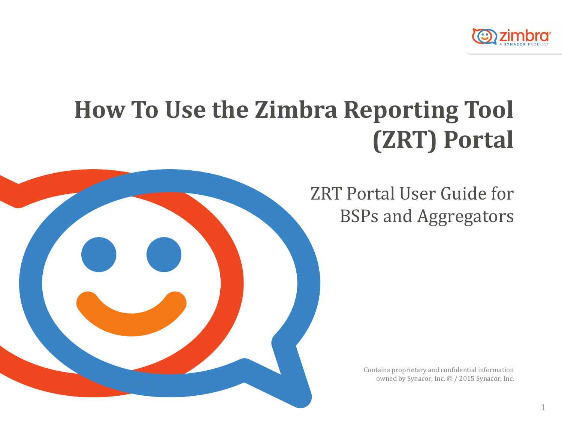

## **How To Use the Zimbra Reporting Tool (ZRT) Portal**



Contains proprietary and confidential information owned by Synacor, Inc. © / 2015 Synacor, Inc.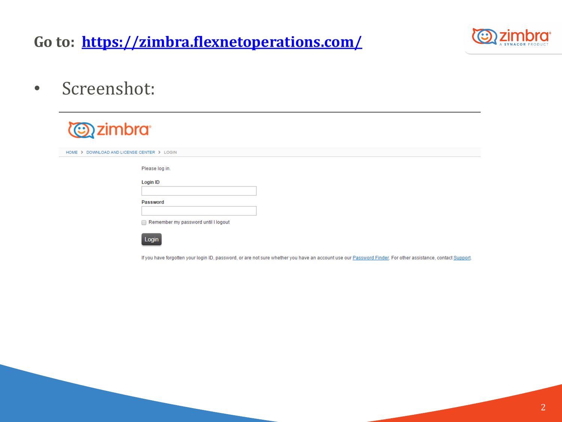### **Go to: <https://zimbra.flexnetoperations.com/>**



• Screenshot:

| <b><i>azimbra</i></b>                      |  |
|--------------------------------------------|--|
| HOME > DOWNLOAD AND LICENSE CENTER > LOGIN |  |
| Please log in.                             |  |
| Login ID                                   |  |
| Password                                   |  |
|                                            |  |
| Remember my password until I logout        |  |
|                                            |  |



If you have forgotten your login ID, password, or are not sure whether you have an account use our Password Finder. For other assistance, contact Support.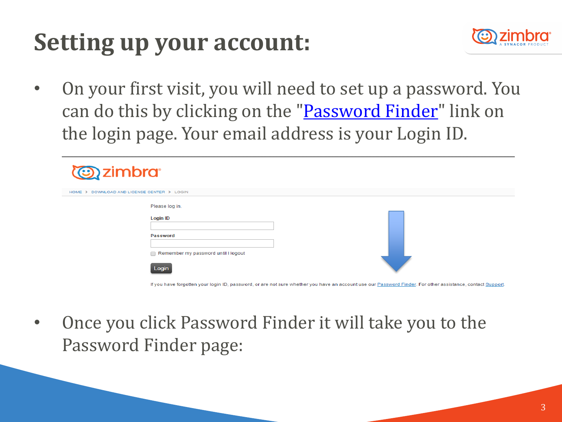# **Setting up your account:**



• On your first visit, you will need to set up a password. You can do this by clicking on the "[Password Finder](https://zimbra.flexnetoperations.com/control/zmbr/password)" link on the login page. Your email address is your Login ID.

| <b><i>azimbra</i></b>                      |                                                                                                      |  |  |  |  |  |  |  |  |  |
|--------------------------------------------|------------------------------------------------------------------------------------------------------|--|--|--|--|--|--|--|--|--|
| HOME > DOWNLOAD AND LICENSE CENTER > LOGIN |                                                                                                      |  |  |  |  |  |  |  |  |  |
|                                            | Please log in.<br><b>Login ID</b><br><b>Password</b><br>Remember my password until I logout<br>Login |  |  |  |  |  |  |  |  |  |

- If you have forgotten your login ID, password, or are not sure whether you have an account use our Password Finder. For other assistance, contact Support
- Once you click Password Finder it will take you to the Password Finder page: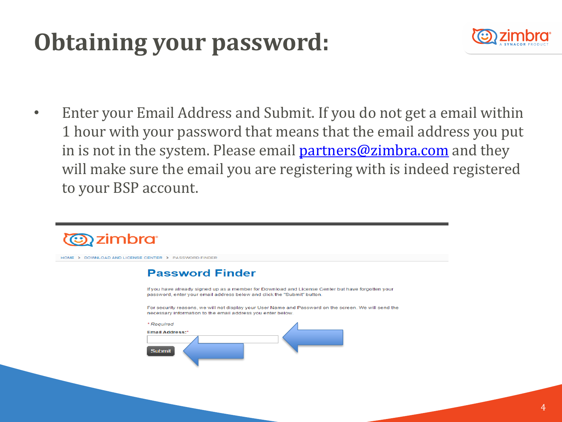# **Obtaining your password:**



• Enter your Email Address and Submit. If you do not get a email within 1 hour with your password that means that the email address you put in is not in the system. Please email **partners@zimbra.com** and they will make sure the email you are registering with is indeed registered to your BSP account.

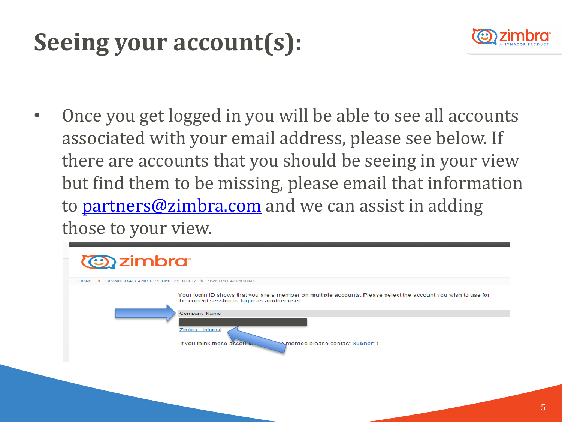# **Seeing your account(s):**



• Once you get logged in you will be able to see all accounts associated with your email address, please see below. If there are accounts that you should be seeing in your view but find them to be missing, please email that information to **partners@zimbra.com** and we can assist in adding those to your view.

| <b><i>Condensition and all almost</i></b>                |                                                                                                                                                                                                                                                                         |
|----------------------------------------------------------|-------------------------------------------------------------------------------------------------------------------------------------------------------------------------------------------------------------------------------------------------------------------------|
| DOWNLOAD AND LICENSE CENTER > SWITCH ACCOUNT<br>$HOME$ > |                                                                                                                                                                                                                                                                         |
|                                                          | Your login ID shows that you are a member on multiple accounts. Please select the account you wish to use for<br>the current session or login as another user.<br>Company Name<br>Zimbra - Internal<br>(If you think these accounts)<br>merged please contact Support.) |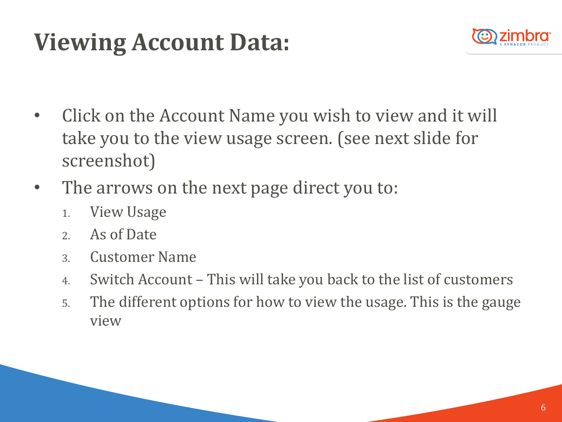# **Viewing Account Data:**



- Click on the Account Name you wish to view and it will take you to the view usage screen. (see next slide for screenshot)
- The arrows on the next page direct you to:
	- 1. View Usage
	- 2. As of Date
	- 3. Customer Name
	- 4. Switch Account This will take you back to the list of customers
	- 5. The different options for how to view the usage. This is the gauge view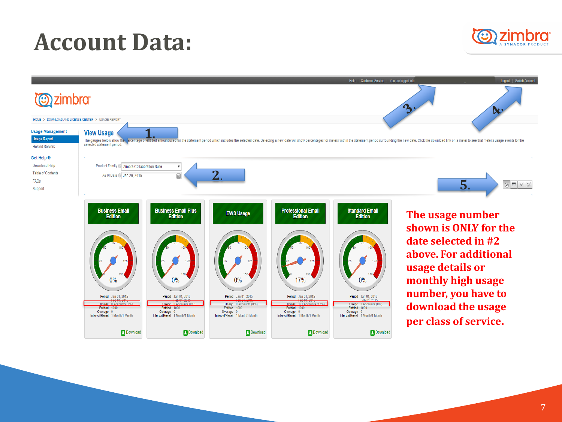## **Account Data:**



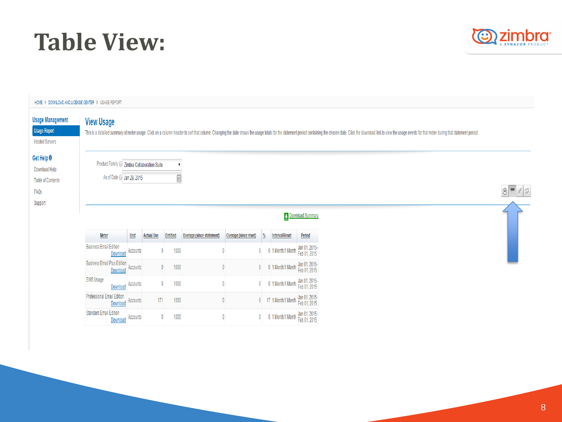## **Table View:**



| HOME > DOWNLOAD AND LICENSE CENTER > USAGE REPORT                                     |                                                                          |          |                   |                      |                           |                       |              |                                    |                               |  |                                                                                                                                                                                                                                |                                   |
|---------------------------------------------------------------------------------------|--------------------------------------------------------------------------|----------|-------------------|----------------------|---------------------------|-----------------------|--------------|------------------------------------|-------------------------------|--|--------------------------------------------------------------------------------------------------------------------------------------------------------------------------------------------------------------------------------|-----------------------------------|
| <b>Usage Management</b><br><b>Usage Report</b><br><b>Hosted Servers</b>               | <b>View Usage</b>                                                        |          |                   |                      |                           |                       |              |                                    |                               |  | This is a detailed summary of meter usage. Click on a column header to sort that column. Changing the date shows the usage totals for the statement period containing the chosen date. Click the download link to view the usa |                                   |
| Get Help <sup>O</sup><br>Download Help<br><b>Table of Contents</b><br>FAQs<br>Support | Product Family @ Zimbra Collaboration Suite<br>As of Date / Jan 29, 2015 |          |                   | 0                    |                           |                       |              |                                    |                               |  |                                                                                                                                                                                                                                | $\circ$ $\mathbb{R}$ $\mathbb{Z}$ |
|                                                                                       |                                                                          |          |                   |                      |                           |                       |              |                                    | <b>Download Summary</b>       |  |                                                                                                                                                                                                                                |                                   |
|                                                                                       | <b>Meter</b>                                                             | Unit     | <b>Actual Use</b> | Entitled             | Overage (since statement) | Overage (since reset) |              | <b>Interval/Reset</b>              | Period                        |  |                                                                                                                                                                                                                                |                                   |
|                                                                                       | <b>Business Email Edition</b><br>Download                                | Accounts |                   | 1000<br>$\mathbf{0}$ | $\mathbf{0}$              |                       | $\mathbf{0}$ | 0 1 Month/1 Month                  | Jan 01, 2015-<br>Feb 01, 2015 |  |                                                                                                                                                                                                                                |                                   |
|                                                                                       | <b>Business Email Plus Edition</b><br>Download                           | Accounts |                   | 1000<br>$\mathbf{0}$ |                           | $\mathbf{0}$          | $\mathbf{0}$ | 0 1 Month/1 Month                  | Jan 01, 2015-<br>Feb 01, 2015 |  |                                                                                                                                                                                                                                |                                   |
|                                                                                       | <b>EWS Usage</b><br>Download                                             | Accounts |                   | 1000<br>$\mathbf{0}$ |                           | $\mathbf 0$           | $\mathbf{0}$ | 0 1 Month/1 Month                  | Jan 01, 2015-<br>Feb 01, 2015 |  |                                                                                                                                                                                                                                |                                   |
|                                                                                       | <b>Professional Email Edition</b><br>Download                            | Accounts | 171               | 1000                 |                           | $\mathbf 0$           |              | 0 17 1 Month/1 Month Jan 01, 2015- |                               |  |                                                                                                                                                                                                                                |                                   |
|                                                                                       | <b>Standard Email Edition</b><br>Download                                | Accounts |                   | 1000<br>$\mathbf{0}$ |                           | $\mathbf 0$           | $\mathbf{0}$ | 0 1 Month/1 Month                  | Jan 01, 2015-<br>Feb 01, 2015 |  |                                                                                                                                                                                                                                |                                   |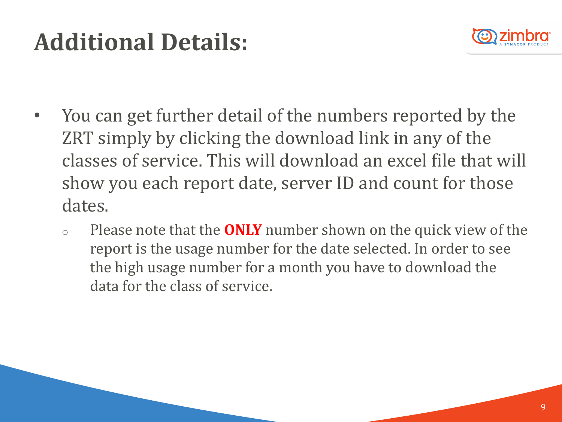# **Additional Details:**



- You can get further detail of the numbers reported by the ZRT simply by clicking the download link in any of the classes of service. This will download an excel file that will show you each report date, server ID and count for those dates.
	- o Please note that the **ONLY** number shown on the quick view of the report is the usage number for the date selected. In order to see the high usage number for a month you have to download the data for the class of service.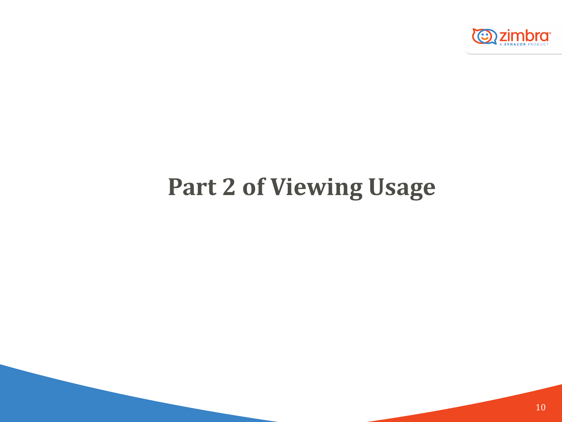

## **Part 2 of Viewing Usage**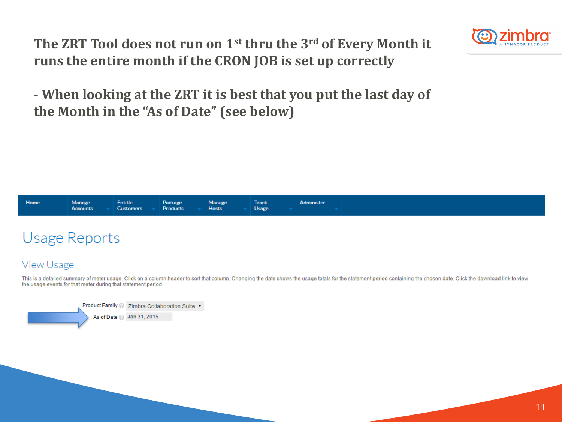**The ZRT Tool does not run on 1st thru the 3rd of Every Month it runs the entire month if the CRON JOB is set up correctly**



**- When looking at the ZRT it is best that you put the last day of the Month in the "As of Date" (see below)**



### **Usage Reports**

### **View Usage**

This is a detailed summary of meter usage. Click on a column header to sort that column. Changing the date shows the usage totals for the statement period containing the chosen date. Click the download link to view the usage events for that meter during that statement period.

Product Family 2 Zimbra Collaboration Suite ▼ As of Date 3 Jan 31, 2015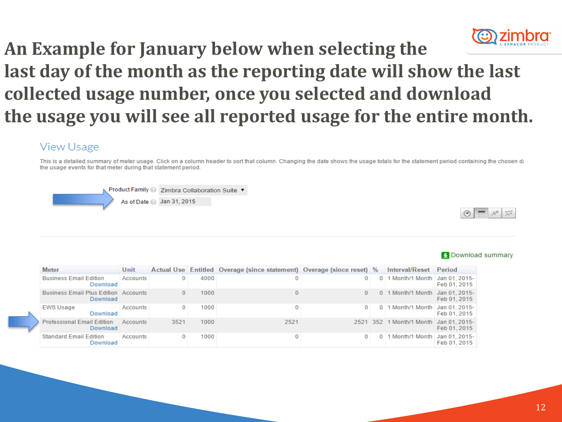

## **An Example for January below when selecting the last day of the month as the reporting date will show the last collected usage number, once you selected and download the usage you will see all reported usage for the entire month.**

### **View Usage**

This is a detailed summary of meter usage. Click on a column header to sort that column. Changing the date shows the usage totals for the statement period containing the chosen date the usage events for that meter during that statement period.





| <b>Meter</b>     |                                                         | Unit     |      |      | Actual Use Entitled Overage (since statement) Overage (since reset) % |              |          | <b>Interval/Reset</b>           | Period       |
|------------------|---------------------------------------------------------|----------|------|------|-----------------------------------------------------------------------|--------------|----------|---------------------------------|--------------|
|                  | <b>Business Email Edition</b><br>Download               | Accounts |      | 4000 | 0                                                                     | $\mathbf{0}$ | 0        | 1 Month/1 Month   Jan 01, 2015- | Feb 01, 2015 |
|                  | <b>Business Email Plus Edition Accounts</b><br>Download |          |      | 1000 |                                                                       | 0            | 0        | 1 Month/1 Month Jan 01, 2015-   | Feb 01, 2015 |
| <b>EWS Usage</b> | Download                                                | Accounts |      | 1000 | 0                                                                     | $^{\circ}$   | 0        | 1 Month/1 Month   Jan 01, 2015- | Feb 01, 2015 |
|                  | <b>Professional Email Edition</b><br>Download           | Accounts | 3521 | 1000 | 2521                                                                  | 2521 352     |          | 1 Month/1 Month Jan 01, 2015-   | Feb 01, 2015 |
|                  | <b>Standard Email Edition</b><br>Download               | Accounts |      | 1000 | 0                                                                     | $\Omega$     | $\Omega$ | 1 Month/1 Month   Jan 01, 2015- | Feb 01, 2015 |

#### **D** Download summary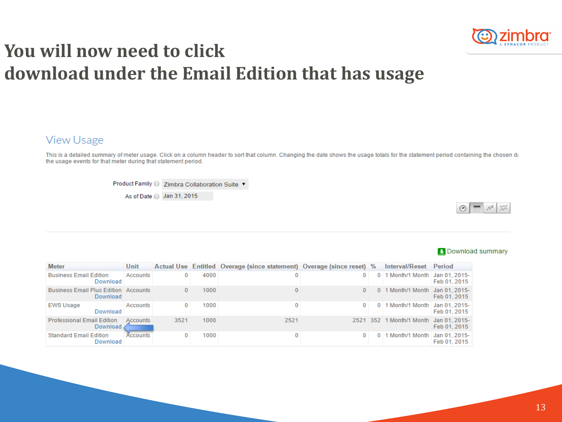

## **You will now need to click download under the Email Edition that has usage**

### **View Usage**

This is a detailed summary of meter usage. Click on a column header to sort that column. Changing the date shows the usage totals for the statement period containing the chosen date the usage events for that meter during that statement period.

Product Family 2 Zimbra Collaboration Suite ▼

As of Date 2 Jan 31, 2015



| <b>Meter</b>                                            | Unit     |      |      | Actual Use Entitled Overage (since statement) Overage (since reset) % |              | Interval/Reset                         | <b>Period</b> |
|---------------------------------------------------------|----------|------|------|-----------------------------------------------------------------------|--------------|----------------------------------------|---------------|
| <b>Business Email Edition</b><br>Download               | Accounts | 0    | 4000 |                                                                       | $\mathbf{0}$ | 0 1 Month/1 Month Jan 01, 2015-        | Feb 01, 2015  |
| <b>Business Email Plus Edition Accounts</b><br>Download |          | 0    | 1000 |                                                                       | $\Omega$     | 0 1 Month/1 Month Jan 01, 2015-        | Feb 01, 2015  |
| <b>EWS Usage</b><br>Download                            | Accounts | 0    | 1000 | 0                                                                     | $\Omega$     | $0$   1 Month/1 Month   Jan 01, 2015-  | Feb 01, 2015  |
| <b>Professional Email Edition</b><br>Download           | Accounts | 3521 | 1000 | 2521                                                                  |              | 2521 352 1 Month/1 Month Jan 01, 2015- | Feb 01, 2015  |
| <b>Standard Email Edition</b><br>Download               | Accounts |      | 1000 |                                                                       |              | 0 1 Month/1 Month   Jan 01, 2015-      | Feb 01, 2015  |

#### **Download summary**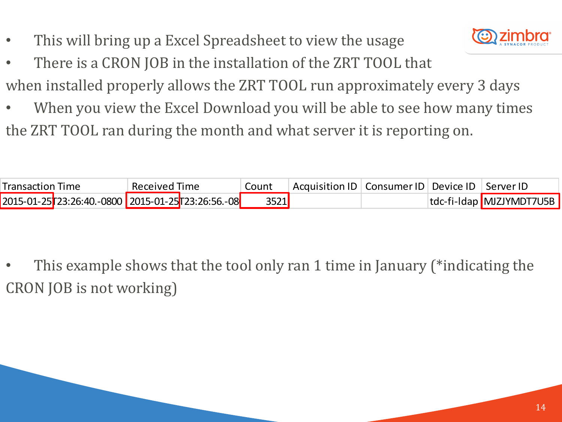This will bring up a Excel Spreadsheet to view the usage



- There is a CRON JOB in the installation of the ZRT TOOL that when installed properly allows the ZRT TOOL run approximately every 3 days
- When you view the Excel Download you will be able to see how many times the ZRT TOOL ran during the month and what server it is reporting on.

| Transaction Time |                                                      | Received Time | Count | Acquisition ID   Consumer ID   Device ID   Server ID |  |                          |
|------------------|------------------------------------------------------|---------------|-------|------------------------------------------------------|--|--------------------------|
|                  | 2015-01-25 23:26:40. -0800 2015-01-25 723:26:56. -08 |               | 3521  |                                                      |  | tdc-fi-Idap MJZJYMDT7U5B |

• This example shows that the tool only ran 1 time in January (\*indicating the CRON JOB is not working)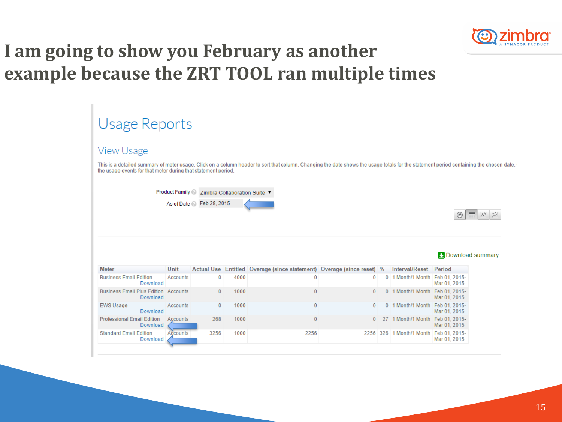

### **I am going to show you February as another example because the ZRT TOOL ran multiple times**

| Usage Reports                                                                                                                                                                                            |                 |              |      |                                                                                                                                                                                        |              |               |                                  |                               |  |  |
|----------------------------------------------------------------------------------------------------------------------------------------------------------------------------------------------------------|-----------------|--------------|------|----------------------------------------------------------------------------------------------------------------------------------------------------------------------------------------|--------------|---------------|----------------------------------|-------------------------------|--|--|
| <b>View Usage</b>                                                                                                                                                                                        |                 |              |      |                                                                                                                                                                                        |              |               |                                  |                               |  |  |
| the usage events for that meter during that statement period.                                                                                                                                            |                 |              |      | This is a detailed summary of meter usage. Click on a column header to sort that column. Changing the date shows the usage totals for the statement period containing the chosen date. |              |               |                                  |                               |  |  |
| <b>Product Family</b><br>Zimbra Collaboration Suite ▼<br>As of Date 2 Feb 28, 2015<br>$\widetilde{\mathcal{N}}$<br>$\langle \overline{\mathcal{N}} \rangle$<br>罬<br>$\circledcirc$<br>L Download summary |                 |              |      |                                                                                                                                                                                        |              |               |                                  |                               |  |  |
| <b>Meter</b>                                                                                                                                                                                             | Unit            |              |      | Actual Use Entitled Overage (since statement) Overage (since reset)                                                                                                                    |              | $\frac{0}{6}$ | <b>Interval/Reset</b>            | <b>Period</b>                 |  |  |
| <b>Business Email Edition</b><br>Download                                                                                                                                                                | <b>Accounts</b> | $\bf{0}$     | 4000 | 0                                                                                                                                                                                      | 0            |               | 0 1 Month/1 Month Feb 01, 2015-  | Mar 01, 2015                  |  |  |
| <b>Business Email Plus Edition Accounts</b><br>Download                                                                                                                                                  |                 | $\mathbf{0}$ | 1000 | $\mathbf{0}$                                                                                                                                                                           | $\mathbf{0}$ |               | 0 1 Month/1 Month Feb 01, 2015-  | Mar 01, 2015                  |  |  |
| <b>EWS Usage</b><br>Download                                                                                                                                                                             | Accounts        | $\mathbf{0}$ | 1000 | $\mathbf 0$                                                                                                                                                                            | $\mathbf{0}$ | $\mathbf{0}$  | 1 Month/1 Month Feb 01, 2015-    | Mar 01, 2015                  |  |  |
| <b>Professional Email Edition</b><br>Download                                                                                                                                                            | Accounts        | 268          | 1000 | $\mathbf{0}$                                                                                                                                                                           | $\mathbf{0}$ |               | 27 1 Month/1 Month Feb 01, 2015- | Mar 01, 2015                  |  |  |
| <b>Standard Email Edition</b><br>Download                                                                                                                                                                | Accounts        | 3256         | 1000 | 2256                                                                                                                                                                                   |              |               | 2256 326 1 Month/1 Month         | Feb 01, 2015-<br>Mar 01, 2015 |  |  |

#### 15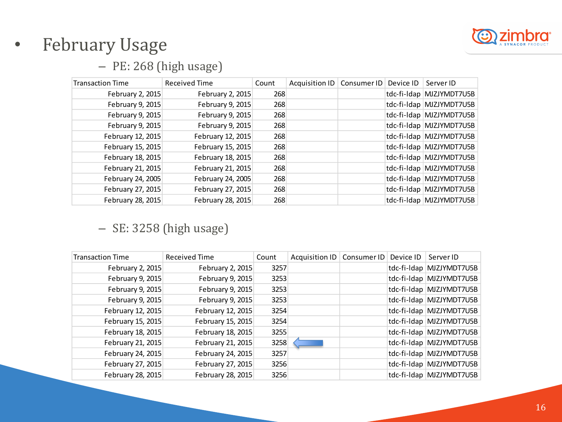

### • February Usage

### – PE: 268 (high usage)

| <b>Transaction Time</b> | Received Time     | Count | Acquisition ID | Consumer ID | Device $ D $ | Server ID                |
|-------------------------|-------------------|-------|----------------|-------------|--------------|--------------------------|
| February 2, 2015        | February 2, 2015  | 268   |                |             |              | tdc-fi-Idap MJZJYMDT7U5B |
| February 9, 2015        | February 9, 2015  | 268   |                |             |              | tdc-fi-Idap MJZJYMDT7U5B |
| February 9, 2015        | February 9, 2015  | 268   |                |             |              | tdc-fi-Idap MJZJYMDT7U5B |
| February 9, 2015        | February 9, 2015  | 268   |                |             |              | tdc-fi-Idap MJZJYMDT7U5B |
| February 12, 2015       | February 12, 2015 | 268   |                |             |              | tdc-fi-Idap MJZJYMDT7U5B |
| February 15, 2015       | February 15, 2015 | 268   |                |             |              | tdc-fi-Idap MJZJYMDT7U5B |
| February 18, 2015       | February 18, 2015 | 268   |                |             |              | tdc-fi-Idap MJZJYMDT7U5B |
| February 21, 2015       | February 21, 2015 | 268   |                |             |              | tdc-fi-Idap MJZJYMDT7U5B |
| February 24, 2005       | February 24, 2005 | 268   |                |             |              | tdc-fi-Idap MJZJYMDT7U5B |
| February 27, 2015       | February 27, 2015 | 268   |                |             |              | tdc-fi-Idap MJZJYMDT7U5B |
| February 28, 2015       | February 28, 2015 | 268   |                |             |              | tdc-fi-Idap MJZJYMDT7U5B |

### – SE: 3258 (high usage)

| <b>Transaction Time</b> | <b>Received Time</b> | Count | Acquisition ID | Consumer ID | Device ID | Server ID                |
|-------------------------|----------------------|-------|----------------|-------------|-----------|--------------------------|
| February 2, 2015        | February 2, 2015     | 3257  |                |             |           | tdc-fi-ldap MJZJYMDT7U5B |
| February 9, 2015        | February 9, 2015     | 3253  |                |             |           | tdc-fi-Idap MJZJYMDT7U5B |
| February 9, 2015        | February 9, 2015     | 3253  |                |             |           | tdc-fi-Idap MJZJYMDT7U5B |
| February 9, 2015        | February 9, 2015     | 3253  |                |             |           | tdc-fi-Idap MJZJYMDT7U5B |
| February 12, 2015       | February 12, 2015    | 3254  |                |             |           | tdc-fi-Idap MJZJYMDT7U5B |
| February 15, 2015       | February 15, 2015    | 3254  |                |             |           | tdc-fi-Idap MJZJYMDT7U5B |
| February 18, 2015       | February 18, 2015    | 3255  |                |             |           | tdc-fi-Idap MJZJYMDT7U5B |
| February 21, 2015       | February 21, 2015    | 3258  |                |             |           | tdc-fi-Idap MJZJYMDT7U5B |
| February 24, 2015       | February 24, 2015    | 3257  |                |             |           | tdc-fi-Idap MJZJYMDT7U5B |
| February 27, 2015       | February 27, 2015    | 3256  |                |             |           | tdc-fi-Idap MJZJYMDT7U5B |
| February 28, 2015       | February 28, 2015    | 3256  |                |             |           | tdc-fi-Idap MJZJYMDT7U5B |